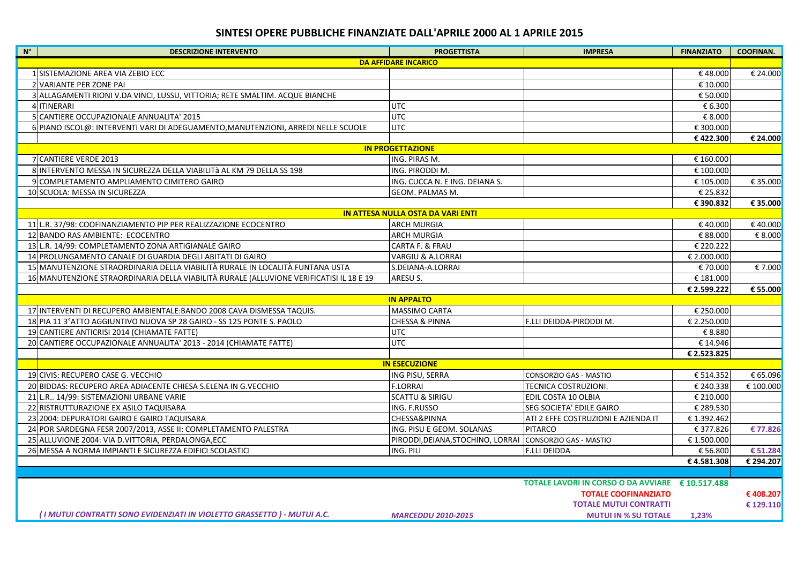## SINTESI OPERE PUBBLICHE FINANZIATE DALL'APRILE 2000 AL 1 APRILE 2015

| $\blacksquare$ N°<br><b>DESCRIZIONE INTERVENTO</b>                                      | <b>PROGETTISTA</b>                                       | <b>IMPRESA</b>                                   | <b>FINANZIATO</b> | <b>COOFINAN.</b> |  |  |
|-----------------------------------------------------------------------------------------|----------------------------------------------------------|--------------------------------------------------|-------------------|------------------|--|--|
| <b>DA AFFIDARE INCARICO</b>                                                             |                                                          |                                                  |                   |                  |  |  |
| 1 SISTEMAZIONE AREA VIA ZEBIO ECC                                                       |                                                          |                                                  | €48.000           | € 24.000         |  |  |
| 2 VARIANTE PER ZONE PAI                                                                 |                                                          |                                                  | € 10.000          |                  |  |  |
| 3 ALLAGAMENTI RIONI V.DA VINCI, LUSSU, VITTORIA; RETE SMALTIM. ACQUE BIANCHE            |                                                          |                                                  | € 50.000          |                  |  |  |
| 4 ITINERARI                                                                             | UTC                                                      |                                                  | € 6.300           |                  |  |  |
| 5 CANTIERE OCCUPAZIONALE ANNUALITA' 2015                                                | <b>UTC</b>                                               |                                                  | € 8.000           |                  |  |  |
| 6 PIANO ISCOL@: INTERVENTI VARI DI ADEGUAMENTO, MANUTENZIONI, ARREDI NELLE SCUOLE       | <b>UTC</b>                                               |                                                  | € 300.000         |                  |  |  |
|                                                                                         |                                                          |                                                  | €422.300          | € 24.000         |  |  |
|                                                                                         | <b>IN PROGETTAZIONE</b>                                  |                                                  |                   |                  |  |  |
| 7 CANTIERE VERDE 2013                                                                   | ING. PIRAS M.                                            |                                                  | € 160.000         |                  |  |  |
| 8 INTERVENTO MESSA IN SICUREZZA DELLA VIABILITÀ AL KM 79 DELLA SS 198                   | ING. PIRODDI M.                                          |                                                  | € 100.000         |                  |  |  |
| 9 COMPLETAMENTO AMPLIAMENTO CIMITERO GAIRO                                              | ING. CUCCA N. E ING. DEIANA S.                           |                                                  | € 105.000         | € 35.000         |  |  |
| 10 SCUOLA: MESSA IN SICUREZZA                                                           | GEOM. PALMAS M.                                          |                                                  | € 25.832          |                  |  |  |
|                                                                                         |                                                          |                                                  | € 390.832         | € 35.000         |  |  |
|                                                                                         | <b>IN ATTESA NULLA OSTA DA VARI ENTI</b>                 |                                                  |                   |                  |  |  |
| 11 L.R. 37/98: COOFINANZIAMENTO PIP PER REALIZZAZIONE ECOCENTRO                         | <b>ARCH MURGIA</b>                                       |                                                  | €40.000           | €40.000          |  |  |
| 12 BANDO RAS AMBIENTE: ECOCENTRO                                                        | ARCH MURGIA                                              |                                                  | € 88.000          | € 8.000          |  |  |
| 13 L.R. 14/99: COMPLETAMENTO ZONA ARTIGIANALE GAIRO                                     | CARTA F. & FRAU                                          |                                                  | € 220.222         |                  |  |  |
| 14 PROLUNGAMENTO CANALE DI GUARDIA DEGLI ABITATI DI GAIRO                               | VARGIU & A.LORRAI                                        |                                                  | € 2.000.000       |                  |  |  |
| 15 MANUTENZIONE STRAORDINARIA DELLA VIABILITÀ RURALE IN LOCALITÀ FUNTANA USTA           | S.DEIANA-A.LORRAI                                        |                                                  | € 70.000          | € 7.000          |  |  |
| 16 MANUTENZIONE STRAORDINARIA DELLA VIABILITÀ RURALE (ALLUVIONE VERIFICATISI IL 18 E 19 | ARESU S.                                                 |                                                  | € 181.000         |                  |  |  |
|                                                                                         |                                                          |                                                  | € 2.599.222       | € 55.000         |  |  |
|                                                                                         | <b>IN APPALTO</b>                                        |                                                  |                   |                  |  |  |
| 17 INTERVENTI DI RECUPERO AMBIENTALE: BANDO 2008 CAVA DISMESSA TAQUIS.                  | MASSIMO CARTA                                            |                                                  | € 250.000         |                  |  |  |
| 18 PIA 11 3° ATTO AGGIUNTIVO NUOVA SP 28 GAIRO - SS 125 PONTE S. PAOLO                  | <b>CHESSA &amp; PINNA</b>                                | F.LLI DEIDDA-PIRODDI M.                          | € 2.250.000       |                  |  |  |
| 19 CANTIERE ANTICRISI 2014 (CHIAMATE FATTE)                                             | <b>UTC</b>                                               |                                                  | € 8.880           |                  |  |  |
| 20 CANTIERE OCCUPAZIONALE ANNUALITA' 2013 - 2014 (CHIAMATE FATTE)                       | <b>UTC</b>                                               |                                                  | € 14.946          |                  |  |  |
|                                                                                         |                                                          |                                                  | € 2.523.825       |                  |  |  |
|                                                                                         | <b>IN ESECUZIONE</b>                                     |                                                  |                   |                  |  |  |
| 19 CIVIS: RECUPERO CASE G. VECCHIO                                                      | ING PISU, SERRA                                          | CONSORZIO GAS - MASTIO                           | € 514.352         | € 65.096         |  |  |
| 20 BIDDAS: RECUPERO AREA ADIACENTE CHIESA S.ELENA IN G.VECCHIO                          | <b>F.LORRAI</b>                                          | TECNICA COSTRUZIONI.                             | € 240.338         | € 100.000        |  |  |
| 21 L.R., 14/99: SISTEMAZIONI URBANE VARIE                                               | <b>SCATTU &amp; SIRIGU</b>                               | EDIL COSTA 10 OLBIA                              | € 210.000         |                  |  |  |
| 22 RISTRUTTURAZIONE EX ASILO TAQUISARA                                                  | ING. F.RUSSO                                             | SEG SOCIETA' EDILE GAIRO                         | € 289.530         |                  |  |  |
| 23 2004: DEPURATORI GAIRO E GAIRO TAQUISARA                                             | CHESSA&PINNA                                             | ATI 2 EFFE COSTRUZIONI E AZIENDA IT              | €1.392.462        |                  |  |  |
| 24 POR SARDEGNA FESR 2007/2013, ASSE II: COMPLETAMENTO PALESTRA                         | ING. PISU E GEOM. SOLANAS                                | PITARCO                                          | €377.826          | €77.826          |  |  |
| 25 ALLUVIONE 2004: VIA D.VITTORIA, PERDALONGA, ECC                                      | PIRODDI, DEIANA, STOCHINO, LORRAI CONSORZIO GAS - MASTIO |                                                  | €1.500.000        |                  |  |  |
| 26 MESSA A NORMA IMPIANTI E SICUREZZA EDIFICI SCOLASTICI                                | ING. PILI                                                | <b>F.LLI DEIDDA</b>                              | € 56.800          | € 51.284         |  |  |
|                                                                                         |                                                          |                                                  | €4.581.308        | € 294.207        |  |  |
|                                                                                         |                                                          |                                                  |                   |                  |  |  |
|                                                                                         |                                                          | TOTALE LAVORI IN CORSO O DA AVVIARE € 10.517.488 |                   |                  |  |  |
|                                                                                         |                                                          | <b>TOTALE COOFINANZIATO</b>                      |                   | € 408.207        |  |  |
|                                                                                         |                                                          | <b>TOTALE MUTUI CONTRATTI</b>                    |                   | € 129.110        |  |  |
| (I MUTUI CONTRATTI SONO EVIDENZIATI IN VIOLETTO GRASSETTO) - MUTUI A.C.                 | <b>MARCEDDU 2010-2015</b>                                | <b>MUTULIN % SU TOTALE</b>                       | 1.23%             |                  |  |  |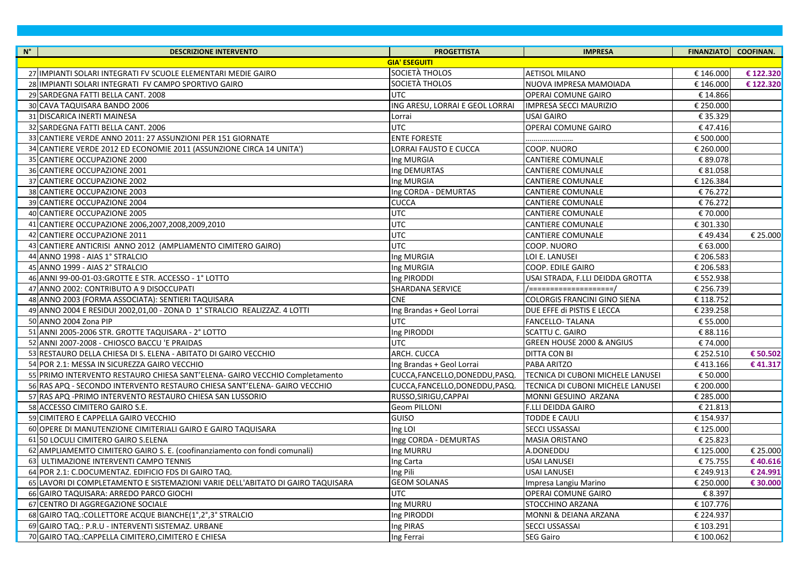| $N^{\circ}$<br><b>DESCRIZIONE INTERVENTO</b>                                    | <b>PROGETTISTA</b>              | <b>IMPRESA</b>                      |           | FINANZIATO COOFINAN. |
|---------------------------------------------------------------------------------|---------------------------------|-------------------------------------|-----------|----------------------|
|                                                                                 | <b>GIA' ESEGUITI</b>            |                                     |           |                      |
| 27 IMPIANTI SOLARI INTEGRATI FV SCUOLE ELEMENTARI MEDIE GAIRO                   | SOCIETÀ THOLOS                  | <b>AETISOL MILANO</b>               | € 146.000 | € 122.320            |
| 28 IMPIANTI SOLARI INTEGRATI FV CAMPO SPORTIVO GAIRO                            | SOCIETÀ THOLOS                  | NUOVA IMPRESA MAMOIADA              | € 146.000 | € 122.320            |
| 29 SARDEGNA FATTI BELLA CANT. 2008                                              | <b>UTC</b>                      | <b>OPERAI COMUNE GAIRO</b>          | € 14.866  |                      |
| 30 CAVA TAQUISARA BANDO 2006                                                    | ING ARESU, LORRAI E GEOL LORRAI | <b>IMPRESA SECCI MAURIZIO</b>       | € 250.000 |                      |
| 31 DISCARICA INERTI MAINESA                                                     | Lorrai                          | USAI GAIRO                          | € 35.329  |                      |
| 32 SARDEGNA FATTI BELLA CANT. 2006                                              | <b>UTC</b>                      | <b>OPERAI COMUNE GAIRO</b>          | €47.416   |                      |
| 33 CANTIERE VERDE ANNO 2011: 27 ASSUNZIONI PER 151 GIORNATE                     | <b>ENTE FORESTE</b>             |                                     | € 500.000 |                      |
| 34 CANTIERE VERDE 2012 ED ECONOMIE 2011 (ASSUNZIONE CIRCA 14 UNITA')            | LORRAI FAUSTO E CUCCA           | COOP. NUORO                         | € 260.000 |                      |
| 35 CANTIERE OCCUPAZIONE 2000                                                    | Ing MURGIA                      | <b>CANTIERE COMUNALE</b>            | € 89.078  |                      |
| 36 CANTIERE OCCUPAZIONE 2001                                                    | Ing DEMURTAS                    | <b>CANTIERE COMUNALE</b>            | € 81.058  |                      |
| 37 CANTIERE OCCUPAZIONE 2002                                                    | Ing MURGIA                      | <b>CANTIERE COMUNALE</b>            | € 126.384 |                      |
| 38 CANTIERE OCCUPAZIONE 2003                                                    | Ing CORDA - DEMURTAS            | <b>CANTIERE COMUNALE</b>            | €76.272   |                      |
| 39 CANTIERE OCCUPAZIONE 2004                                                    | <b>CUCCA</b>                    | <b>CANTIERE COMUNALE</b>            | €76.272   |                      |
| 40 CANTIERE OCCUPAZIONE 2005                                                    | <b>UTC</b>                      | <b>CANTIERE COMUNALE</b>            | € 70.000  |                      |
| 41 CANTIERE OCCUPAZIONE 2006,2007,2008,2009,2010                                | <b>UTC</b>                      | <b>CANTIERE COMUNALE</b>            | € 301.330 |                      |
| 42 CANTIERE OCCUPAZIONE 2011                                                    | <b>UTC</b>                      | <b>CANTIERE COMUNALE</b>            | €49.434   | € 25.000             |
| 43 CANTIERE ANTICRISI ANNO 2012 (AMPLIAMENTO CIMITERO GAIRO)                    | <b>UTC</b>                      | COOP. NUORO                         | € 63.000  |                      |
| 44 ANNO 1998 - AIAS 1° STRALCIO                                                 | Ing MURGIA                      | LOI E. LANUSEI                      | € 206.583 |                      |
| 45 ANNO 1999 - AIAS 2° STRALCIO                                                 | Ing MURGIA                      | <b>COOP. EDILE GAIRO</b>            | € 206.583 |                      |
| 46 ANNI 99-00-01-03: GROTTE E STR. ACCESSO - 1° LOTTO                           | Ing PIRODDI                     | USAI STRADA, F.LLI DEIDDA GROTTA    | € 552.938 |                      |
| 47 ANNO 2002: CONTRIBUTO A 9 DISOCCUPATI                                        | <b>SHARDANA SERVICE</b>         | /=====================              | € 256.739 |                      |
| 48 ANNO 2003 (FORMA ASSOCIATA): SENTIERI TAQUISARA                              | <b>CNE</b>                      | <b>COLORGIS FRANCINI GINO SIENA</b> | € 118.752 |                      |
| 49 ANNO 2004 E RESIDUI 2002,01,00 - ZONA D 1° STRALCIO REALIZZAZ. 4 LOTTI       | Ing Brandas + Geol Lorrai       | DUE EFFE di PISTIS E LECCA          | € 239.258 |                      |
| 50 ANNO 2004 Zona PIP                                                           | <b>UTC</b>                      | <b>FANCELLO- TALANA</b>             | € 55.000  |                      |
| 51 ANNI 2005-2006 STR. GROTTE TAQUISARA - 2° LOTTO                              | Ing PIRODDI                     | SCATTU C. GAIRO                     | € 88.116  |                      |
| 52 ANNI 2007-2008 - CHIOSCO BACCU 'E PRAIDAS                                    | UTC                             | GREEN HOUSE 2000 & ANGIUS           | € 74.000  |                      |
| 53 RESTAURO DELLA CHIESA DI S. ELENA - ABITATO DI GAIRO VECCHIO                 | ARCH. CUCCA                     | <b>DITTA CON BI</b>                 | € 252.510 | € 50.502             |
| 54 POR 2.1: MESSA IN SICUREZZA GAIRO VECCHIO                                    | Ing Brandas + Geol Lorrai       | PABA ARITZO                         | €413.166  | €41.317              |
| 55 PRIMO INTERVENTO RESTAURO CHIESA SANT'ELENA- GAIRO VECCHIO Completamento     | CUCCA, FANCELLO, DONEDDU, PASQ. | TECNICA DI CUBONI MICHELE LANUSEI   | € 50.000  |                      |
| 56 RAS APQ - SECONDO INTERVENTO RESTAURO CHIESA SANT'ELENA- GAIRO VECCHIO       | CUCCA, FANCELLO, DONEDDU, PASQ. | TECNICA DI CUBONI MICHELE LANUSEI   | € 200.000 |                      |
| 57 RAS APQ - PRIMO INTERVENTO RESTAURO CHIESA SAN LUSSORIO                      | RUSSO, SIRIGU, CAPPAI           | MONNI GESUINO ARZANA                | € 285.000 |                      |
| 58 ACCESSO CIMITERO GAIRO S.E.                                                  | <b>Geom PILLONI</b>             | F.LLI DEIDDA GAIRO                  | € 21.813  |                      |
| 59 CIMITERO E CAPPELLA GAIRO VECCHIO                                            | <b>GUISO</b>                    | <b>TODDE E CAULI</b>                | € 154.937 |                      |
| 60 OPERE DI MANUTENZIONE CIMITERIALI GAIRO E GAIRO TAQUISARA                    | Ing LOI                         | <b>SECCI USSASSAI</b>               | € 125.000 |                      |
| 61 50 LOCULI CIMITERO GAIRO S.ELENA                                             | Ingg CORDA - DEMURTAS           | <b>MASIA ORISTANO</b>               | € 25.823  |                      |
| 62 AMPLIAMEMTO CIMITERO GAIRO S. E. (coofinanziamento con fondi comunali)       | Ing MURRU                       | A.DONEDDU                           | € 125.000 | € 25.000             |
| 63 ULTIMAZIONE INTERVENTI CAMPO TENNIS                                          | Ing Carta                       | <b>USAI LANUSEI</b>                 | €75.755   | €40.616              |
| 64 POR 2.1: C.DOCUMENTAZ. EDIFICIO FDS DI GAIRO TAQ.                            | Ing Pili                        | <b>USAI LANUSEI</b>                 | € 249.913 | € 24.991             |
| 65 LAVORI DI COMPLETAMENTO E SISTEMAZIONI VARIE DELL'ABITATO DI GAIRO TAQUISARA | <b>GEOM SOLANAS</b>             | Impresa Langiu Marino               | € 250.000 | € 30.000             |
| 66 GAIRO TAQUISARA: ARREDO PARCO GIOCHI                                         | <b>UTC</b>                      | <b>OPERAI COMUNE GAIRO</b>          | € 8.397   |                      |
| 67 CENTRO DI AGGREGAZIONE SOCIALE                                               | Ing MURRU                       | STOCCHINO ARZANA                    | € 107.776 |                      |
| 68 GAIRO TAQ.: COLLETTORE ACQUE BIANCHE(1°,2°,3° STRALCIO                       | Ing PIRODDI                     | MONNI & DEIANA ARZANA               | € 224.937 |                      |
| 69 GAIRO TAQ.: P.R.U - INTERVENTI SISTEMAZ. URBANE                              | Ing PIRAS                       | SECCI USSASSAI                      | € 103.291 |                      |
| 70 GAIRO TAQ.: CAPPELLA CIMITERO, CIMITERO E CHIESA                             | Ing Ferrai                      | <b>SEG Gairo</b>                    | € 100.062 |                      |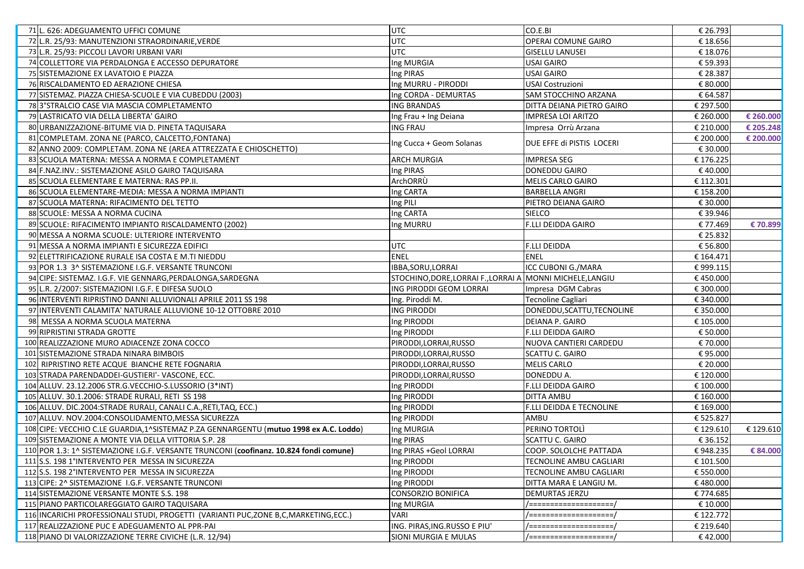| 71 L. 626: ADEGUAMENTO UFFICI COMUNE                                                   | UTC                                                       | CO.E.BI                    | € 26.793  |           |
|----------------------------------------------------------------------------------------|-----------------------------------------------------------|----------------------------|-----------|-----------|
| 72 L.R. 25/93: MANUTENZIONI STRAORDINARIE, VERDE                                       | <b>UTC</b>                                                | <b>OPERAI COMUNE GAIRO</b> | € 18.656  |           |
| 73 L.R. 25/93: PICCOLI LAVORI URBANI VARI                                              | <b>UTC</b>                                                | <b>GISELLU LANUSEI</b>     | € 18.076  |           |
| 74 COLLETTORE VIA PERDALONGA E ACCESSO DEPURATORE                                      | Ing MURGIA                                                | <b>USAI GAIRO</b>          | € 59.393  |           |
| 75 SISTEMAZIONE EX LAVATOIO E PIAZZA                                                   | Ing PIRAS                                                 | <b>USAI GAIRO</b>          | € 28.387  |           |
| 76 RISCALDAMENTO ED AERAZIONE CHIESA                                                   | Ing MURRU - PIRODDI                                       | <b>USAI Costruzioni</b>    | € 80.000  |           |
| 77 SISTEMAZ. PIAZZA CHIESA-SCUOLE E VIA CUBEDDU (2003)                                 | Ing CORDA - DEMURTAS                                      | SAM STOCCHINO ARZANA       | € 64.587  |           |
| 78 3° STRALCIO CASE VIA MASCIA COMPLETAMENTO                                           | <b>ING BRANDAS</b>                                        | DITTA DEIANA PIETRO GAIRO  | € 297.500 |           |
| 79 LASTRICATO VIA DELLA LIBERTA' GAIRO                                                 | Ing Frau + Ing Deiana                                     | <b>IMPRESA LOI ARITZO</b>  | € 260.000 | € 260.000 |
| 80 URBANIZZAZIONE-BITUME VIA D. PINETA TAQUISARA                                       | <b>ING FRAU</b>                                           | Impresa Orrù Arzana        | € 210.000 | € 205.248 |
| 81 COMPLETAM. ZONA NE (PARCO, CALCETTO, FONTANA)                                       | Ing Cucca + Geom Solanas                                  | IDUE EFFE di PISTIS LOCERI | € 200.000 | € 200.000 |
| 82 ANNO 2009: COMPLETAM. ZONA NE (AREA ATTREZZATA E CHIOSCHETTO)                       |                                                           |                            | € 30.000  |           |
| 83 SCUOLA MATERNA: MESSA A NORMA E COMPLETAMENT                                        | <b>ARCH MURGIA</b>                                        | <b>IMPRESA SEG</b>         | €176.225  |           |
| 84 F.NAZ.INV.: SISTEMAZIONE ASILO GAIRO TAQUISARA                                      | Ing PIRAS                                                 | DONEDDU GAIRO              | €40.000   |           |
| 85 SCUOLA ELEMENTARE E MATERNA: RAS PP.II.                                             | ArchORRÙ                                                  | MELIS CARLO GAIRO          | € 112.301 |           |
| 86 SCUOLA ELEMENTARE-MEDIA: MESSA A NORMA IMPIANTI                                     | Ing CARTA                                                 | <b>BARBELLA ANGRI</b>      | € 158.200 |           |
| 87 SCUOLA MATERNA: RIFACIMENTO DEL TETTO                                               | Ing PILI                                                  | PIETRO DEIANA GAIRO        | € 30.000  |           |
| 88 SCUOLE: MESSA A NORMA CUCINA                                                        | Ing CARTA                                                 | <b>SIELCO</b>              | € 39.946  |           |
| 89 SCUOLE: RIFACIMENTO IMPIANTO RISCALDAMENTO (2002)                                   | Ing MURRU                                                 | <b>F.LLI DEIDDA GAIRO</b>  | € 77.469  | € 70.899  |
| 90 MESSA A NORMA SCUOLE: ULTERIORE INTERVENTO                                          |                                                           |                            | € 25.832  |           |
| 91 MESSA A NORMA IMPIANTI E SICUREZZA EDIFICI                                          | <b>UTC</b>                                                | <b>F.LLI DEIDDA</b>        | € 56.800  |           |
| 92 ELETTRIFICAZIONE RURALE ISA COSTA E M.TI NIEDDU                                     | <b>ENEL</b>                                               | <b>ENEL</b>                | € 164.471 |           |
| 93 POR 1.3 3^ SISTEMAZIONE I.G.F. VERSANTE TRUNCONI                                    | IBBA, SORU, LORRAI                                        | ICC CUBONI G./MARA         | €999.115  |           |
| 94 CIPE: SISTEMAZ. I.G.F. VIE GENNARG, PERDALONGA, SARDEGNA                            | STOCHINO, DORE, LORRAI F., LORRAI A MONNI MICHELE, LANGIU |                            | €450.000  |           |
| 95 L.R. 2/2007: SISTEMAZIONI I.G.F. E DIFESA SUOLO                                     | ING PIRODDI GEOM LORRAI                                   | Impresa DGM Cabras         | € 300.000 |           |
| 96 INTERVENTI RIPRISTINO DANNI ALLUVIONALI APRILE 2011 SS 198                          | Ing. Piroddi M.                                           | Tecnoline Cagliari         | € 340.000 |           |
| 97 INTERVENTI CALAMITA' NATURALE ALLUVIONE 10-12 OTTOBRE 2010                          | <b>ING PIRODDI</b>                                        | DONEDDU, SCATTU, TECNOLINE | € 350.000 |           |
| 98 MESSA A NORMA SCUOLA MATERNA                                                        | Ing PIRODDI                                               | DEIANA P. GAIRO            | € 105.000 |           |
| 99 RIPRISTINI STRADA GROTTE                                                            | Ing PIRODDI                                               | <b>F.LLI DEIDDA GAIRO</b>  | € 50.000  |           |
| 100 REALIZZAZIONE MURO ADIACENZE ZONA COCCO                                            | PIRODDI,LORRAI,RUSSO                                      | NUOVA CANTIERI CARDEDU     | € 70.000  |           |
| 101 SISTEMAZIONE STRADA NINARA BIMBOIS                                                 | PIRODDI, LORRAI, RUSSO                                    | SCATTU C. GAIRO            | €95.000   |           |
| 102 RIPRISTINO RETE ACQUE BIANCHE RETE FOGNARIA                                        | PIRODDI, LORRAI, RUSSO                                    | <b>MELIS CARLO</b>         | € 20.000  |           |
| 103 STRADA PARENDADDEI-GUSTIERI'- VASCONE, ECC.                                        | PIRODDI, LORRAI, RUSSO                                    | DONEDDU A.                 | € 120.000 |           |
| 104 ALLUV. 23.12.2006 STR.G.VECCHIO-S.LUSSORIO (3*INT)                                 | Ing PIRODDI                                               | <b>F.LLI DEIDDA GAIRO</b>  | € 100.000 |           |
| 105 ALLUV. 30.1.2006: STRADE RURALI, RETI SS 198                                       | Ing PIRODDI                                               | DITTA AMBU                 | € 160.000 |           |
| 106 ALLUV. DIC.2004:STRADE RURALI, CANALI C.A., RETI, TAQ, ECC.)                       | Ing PIRODDI                                               | F.LLI DEIDDA E TECNOLINE   | € 169.000 |           |
| 107 ALLUV. NOV.2004: CONSOLIDAMENTO, MESSA SICUREZZA                                   | Ing PIRODDI                                               | AMBU                       | € 525.827 |           |
| 108 CIPE: VECCHIO C.LE GUARDIA, 1^SISTEMAZ P.ZA GENNARGENTU (mutuo 1998 ex A.C. Loddo) | Ing MURGIA                                                | PERINO TORTOLI             | € 129.610 | € 129.610 |
| 109 SISTEMAZIONE A MONTE VIA DELLA VITTORIA S.P. 28                                    | Ing PIRAS                                                 | <b>SCATTU C. GAIRO</b>     | € 36.152  |           |
| 110 POR 1.3: 1^ SISTEMAZIONE I.G.F. VERSANTE TRUNCONI (coofinanz. 10.824 fondi comune) | Ing PIRAS +Geol LORRAI                                    | COOP. SOLOLCHE PATTADA     | €948.235  | € 84.000  |
| 111 S.S. 198 1°INTERVENTO PER MESSA IN SICUREZZA                                       | Ing PIRODDI                                               | TECNOLINE AMBU CAGLIARI    | € 101.500 |           |
| 112 S.S. 198 2°INTERVENTO PER MESSA IN SICUREZZA                                       | Ing PIRODDI                                               | TECNOLINE AMBU CAGLIARI    | € 550.000 |           |
| 113 CIPE: 2^ SISTEMAZIONE I.G.F. VERSANTE TRUNCONI                                     | Ing PIRODDI                                               | DITTA MARA E LANGIU M.     | €480.000  |           |
| 114 SISTEMAZIONE VERSANTE MONTE S.S. 198                                               | <b>CONSORZIO BONIFICA</b>                                 | <b>DEMURTAS JERZU</b>      | €774.685  |           |
| 115 PIANO PARTICOLAREGGIATO GAIRO TAQUISARA                                            | Ing MURGIA                                                | /====================      | € 10.000  |           |
| 116 INCARICHI PROFESSIONALI STUDI, PROGETTI (VARIANTI PUC, ZONE B, C, MARKETING, ECC.) | <b>VARI</b>                                               | /====================      | € 122.772 |           |
| 117 REALIZZAZIONE PUC E ADEGUAMENTO AL PPR-PAI                                         | ING. PIRAS, ING. RUSSO E PIU'                             | /====================      | € 219.640 |           |
| 118 PIANO DI VALORIZZAZIONE TERRE CIVICHE (L.R. 12/94)                                 | <b>SIONI MURGIA E MULAS</b>                               | /====================      | €42.000   |           |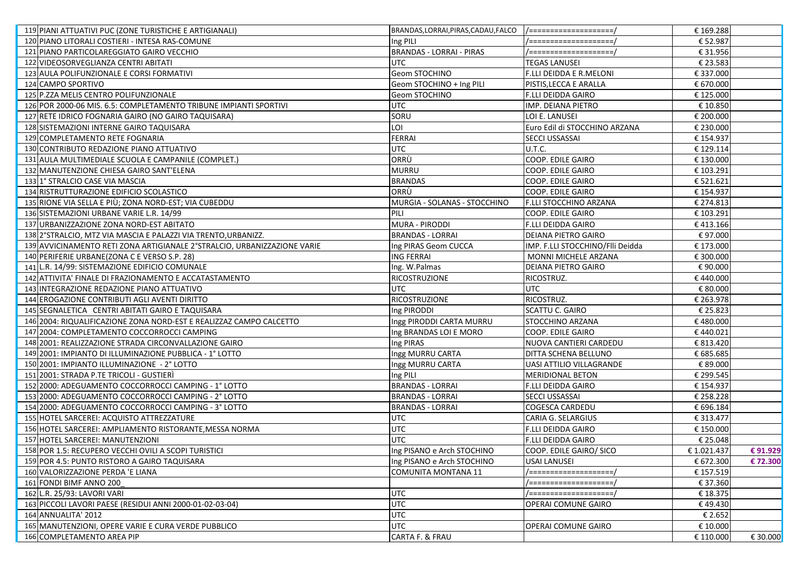| 119 PIANI ATTUATIVI PUC (ZONE TURISTICHE E ARTIGIANALI)                  | BRANDAS, LORRAI, PIRAS, CADAU, FALCO   /==================== |                                  | € 169.288  |          |
|--------------------------------------------------------------------------|--------------------------------------------------------------|----------------------------------|------------|----------|
| 120 PIANO LITORALI COSTIERI - INTESA RAS-COMUNE                          | Ing PILI                                                     | /====================            | € 52.987   |          |
| 121 PIANO PARTICOLAREGGIATO GAIRO VECCHIO                                | <b>BRANDAS - LORRAI - PIRAS</b>                              | /====================            | € 31.956   |          |
| 122 VIDEOSORVEGLIANZA CENTRI ABITATI                                     | UTC                                                          | <b>TEGAS LANUSEI</b>             | € 23.583   |          |
| 123 AULA POLIFUNZIONALE E CORSI FORMATIVI                                | <b>Geom STOCHINO</b>                                         | F.LLI DEIDDA E R.MELONI          | € 337.000  |          |
| 124 CAMPO SPORTIVO                                                       | Geom STOCHINO + Ing PILI                                     | PISTIS, LECCA E ARALLA           | € 670.000  |          |
| 125 P.ZZA MELIS CENTRO POLIFUNZIONALE                                    | Geom STOCHINO                                                | F.LLI DEIDDA GAIRO               | € 125.000  |          |
| 126 POR 2000-06 MIS. 6.5: COMPLETAMENTO TRIBUNE IMPIANTI SPORTIVI        | <b>UTC</b>                                                   | IMP. DEIANA PIETRO               | € 10.850   |          |
| 127 RETE IDRICO FOGNARIA GAIRO (NO GAIRO TAQUISARA)                      | SORU                                                         | LOI E. LANUSEI                   | € 200.000  |          |
| 128 SISTEMAZIONI INTERNE GAIRO TAQUISARA                                 | LOI                                                          | Euro Edil di STOCCHINO ARZANA    | € 230.000  |          |
| 129 COMPLETAMENTO RETE FOGNARIA                                          | <b>FERRAI</b>                                                | <b>SECCI USSASSAI</b>            | € 154.937  |          |
| 130 CONTRIBUTO REDAZIONE PIANO ATTUATIVO                                 | <b>UTC</b>                                                   | U.T.C.                           | € 129.114  |          |
| 131 AULA MULTIMEDIALE SCUOLA E CAMPANILE (COMPLET.)                      | ORRÙ                                                         | COOP. EDILE GAIRO                | € 130.000  |          |
| 132 MANUTENZIONE CHIESA GAIRO SANT'ELENA                                 | <b>MURRU</b>                                                 | COOP. EDILE GAIRO                | € 103.291  |          |
| 133 1° STRALCIO CASE VIA MASCIA                                          | <b>BRANDAS</b>                                               | COOP. EDILE GAIRO                | € 521.621  |          |
| 134 RISTRUTTURAZIONE EDIFICIO SCOLASTICO                                 | ORRÙ                                                         | <b>COOP. EDILE GAIRO</b>         | € 154.937  |          |
| 135 RIONE VIA SELLA E PIÙ; ZONA NORD-EST; VIA CUBEDDU                    | MURGIA - SOLANAS - STOCCHINO                                 | F.LLI STOCCHINO ARZANA           | € 274.813  |          |
| 136 SISTEMAZIONI URBANE VARIE L.R. 14/99                                 | PILI                                                         | <b>COOP. EDILE GAIRO</b>         | € 103.291  |          |
| 137 URBANIZZAZIONE ZONA NORD-EST ABITATO                                 | MURA - PIRODDI                                               | <b>F.LLI DEIDDA GAIRO</b>        | €413.166   |          |
| 138 2° STRALCIO, MTZ VIA MASCIA E PALAZZI VIA TRENTO, URBANIZZ.          | <b>BRANDAS - LORRAI</b>                                      | <b>DEIANA PIETRO GAIRO</b>       | €97.000    |          |
| 139 AVVICINAMENTO RETI ZONA ARTIGIANALE 2°STRALCIO, URBANIZZAZIONE VARIE | Ing PIRAS Geom CUCCA                                         | IMP. F.LLI STOCCHINO/Flli Deidda | € 173.000  |          |
| 140 PERIFERIE URBANE (ZONA C E VERSO S.P. 28)                            | <b>ING FERRAI</b>                                            | MONNI MICHELE ARZANA             | € 300.000  |          |
| 141 L.R. 14/99: SISTEMAZIONE EDIFICIO COMUNALE                           | Ing. W.Palmas                                                | <b>DEIANA PIETRO GAIRO</b>       | € 90.000   |          |
| 142 ATTIVITA' FINALE DI FRAZIONAMENTO E ACCATASTAMENTO                   | RICOSTRUZIONE                                                | RICOSTRUZ.                       | €440.000   |          |
| 143 INTEGRAZIONE REDAZIONE PIANO ATTUATIVO                               | UTC                                                          | <b>UTC</b>                       | € 80.000   |          |
| 144 EROGAZIONE CONTRIBUTI AGLI AVENTI DIRITTO                            | <b>RICOSTRUZIONE</b>                                         | RICOSTRUZ.                       | € 263.978  |          |
| 145 SEGNALETICA CENTRI ABITATI GAIRO E TAQUISARA                         | Ing PIRODDI                                                  | <b>SCATTU C. GAIRO</b>           | € 25.823   |          |
| 146 2004: RIQUALIFICAZIONE ZONA NORD-EST E REALIZZAZ CAMPO CALCETTO      | Ingg PIRODDI CARTA MURRU                                     | STOCCHINO ARZANA                 | €480.000   |          |
| 147 2004: COMPLETAMENTO COCCORROCCI CAMPING                              | Ing BRANDAS LOI E MORO                                       | <b>COOP. EDILE GAIRO</b>         | €440.021   |          |
| 148 2001: REALIZZAZIONE STRADA CIRCONVALLAZIONE GAIRO                    | Ing PIRAS                                                    | NUOVA CANTIERI CARDEDU           | € 813.420  |          |
| 149 2001: IMPIANTO DI ILLUMINAZIONE PUBBLICA - 1º LOTTO                  | Ingg MURRU CARTA                                             | DITTA SCHENA BELLUNO             | € 685.685  |          |
| 150 2001: IMPIANTO ILLUMINAZIONE - 2° LOTTO                              | Ingg MURRU CARTA                                             | <b>UASI ATTILIO VILLAGRANDE</b>  | € 89.000   |          |
| 151 2001: STRADA P.TE TRICOLI - GUSTIERÌ                                 | Ing PILI                                                     | <b>MERIDIONAL BETON</b>          | € 299.545  |          |
| 152 2000: ADEGUAMENTO COCCORROCCI CAMPING - 1° LOTTO                     | <b>BRANDAS - LORRAI</b>                                      | <b>F.LLI DEIDDA GAIRO</b>        | € 154.937  |          |
| 153 2000: ADEGUAMENTO COCCORROCCI CAMPING - 2° LOTTO                     | <b>BRANDAS - LORRAI</b>                                      | <b>SECCI USSASSAI</b>            | € 258.228  |          |
| 154 2000: ADEGUAMENTO COCCORROCCI CAMPING - 3° LOTTO                     | <b>BRANDAS - LORRAI</b>                                      | <b>COGESCA CARDEDU</b>           | € 696.184  |          |
| 155 HOTEL SARCEREI: ACQUISTO ATTREZZATURE                                | <b>UTC</b>                                                   | <b>CARIA G. SELARGIUS</b>        | € 313.477  |          |
| 156 HOTEL SARCEREI: AMPLIAMENTO RISTORANTE, MESSA NORMA                  | <b>UTC</b>                                                   | <b>F.LLI DEIDDA GAIRO</b>        | € 150.000  |          |
| 157 HOTEL SARCEREI: MANUTENZIONI                                         | <b>UTC</b>                                                   | <b>F.LLI DEIDDA GAIRO</b>        | € 25.048   |          |
| 158 POR 1.5: RECUPERO VECCHI OVILI A SCOPI TURISTICI                     | Ing PISANO e Arch STOCHINO                                   | COOP. EDILE GAIRO/ SICO          | €1.021.437 | €91.929  |
| 159 POR 4.5: PUNTO RISTORO A GAIRO TAQUISARA                             | Ing PISANO e Arch STOCHINO                                   | <b>USAI LANUSEI</b>              | € 672.300  | € 72.300 |
| 160 VALORIZZAZIONE PERDA 'E LIANA                                        | <b>COMUNITA MONTANA 11</b>                                   | /=====================           | € 157.519  |          |
| 161 FONDI BIMF ANNO 200                                                  |                                                              | /=====================           | € 37.360   |          |
| 162 L.R. 25/93: LAVORI VARI                                              | <b>UTC</b>                                                   | /====================            | € 18.375   |          |
| 163 PICCOLI LAVORI PAESE (RESIDUI ANNI 2000-01-02-03-04)                 | <b>UTC</b>                                                   | OPERAI COMUNE GAIRO              | €49.430    |          |
| 164 ANNUALITA' 2012                                                      | <b>UTC</b>                                                   |                                  | € 2.652    |          |
| 165 MANUTENZIONI, OPERE VARIE E CURA VERDE PUBBLICO                      | <b>UTC</b>                                                   | OPERAI COMUNE GAIRO              | € 10.000   |          |
| 166 COMPLETAMENTO AREA PIP                                               | CARTA F. & FRAU                                              |                                  | € 110.000  | € 30.000 |